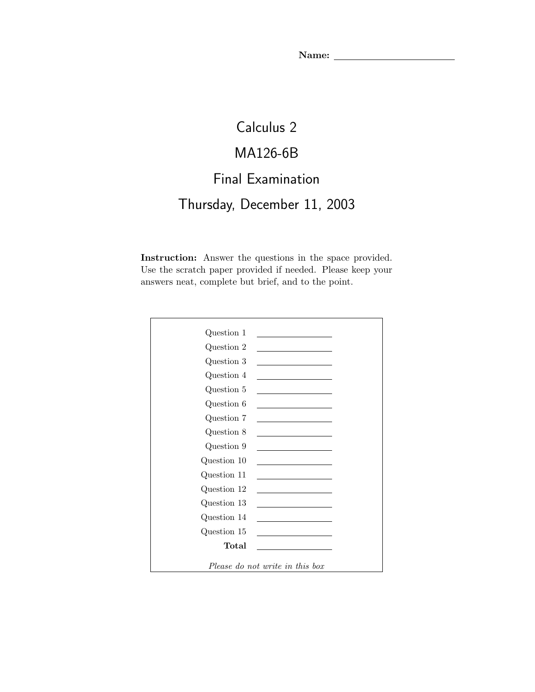# Calculus 2

# MA126-6B

### Final Examination

# Thursday, December 11, 2003

Instruction: Answer the questions in the space provided. Use the scratch paper provided if needed. Please keep your answers neat, complete but brief, and to the point.

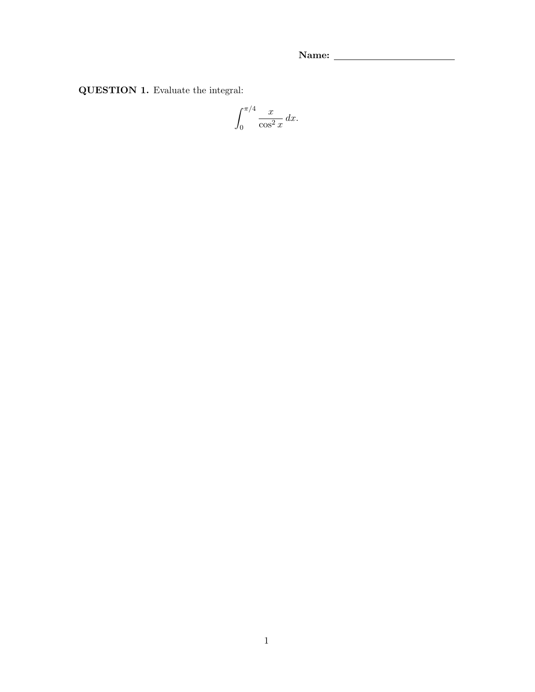QUESTION 1. Evaluate the integral:

$$
\int_0^{\pi/4} \frac{x}{\cos^2 x} \, dx.
$$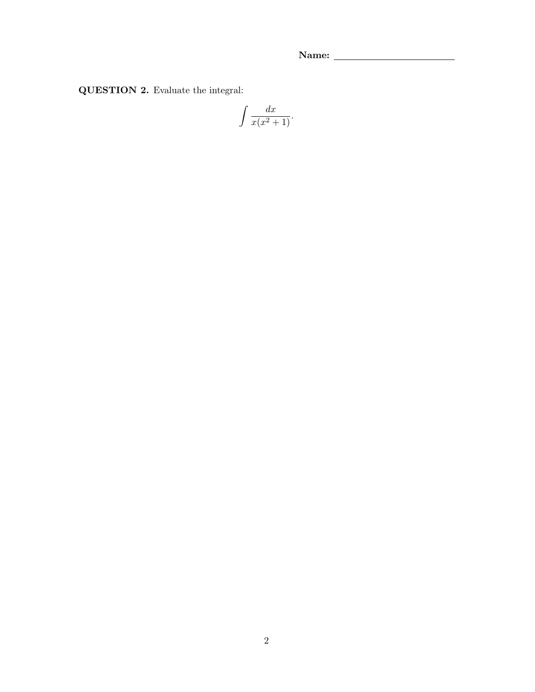QUESTION 2. Evaluate the integral:

$$
\int \frac{dx}{x(x^2+1)}.
$$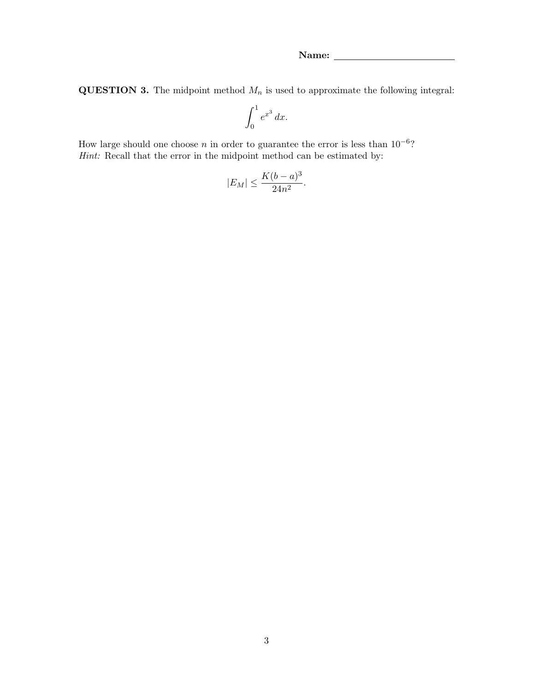**QUESTION 3.** The midpoint method  $M_n$  is used to approximate the following integral:

$$
\int_0^1 e^{x^3} \, dx.
$$

How large should one choose n in order to guarantee the error is less than  $10^{-6}$ ? Hint: Recall that the error in the midpoint method can be estimated by:

$$
|E_M| \le \frac{K(b-a)^3}{24n^2}.
$$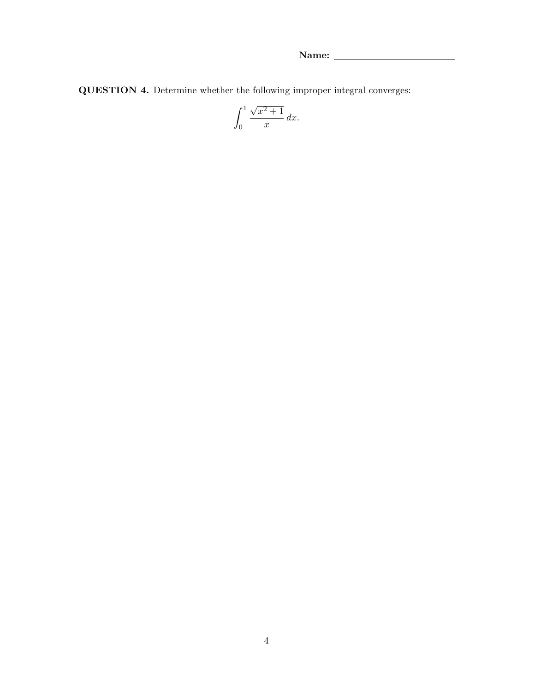QUESTION 4. Determine whether the following improper integral converges:

$$
\int_0^1 \frac{\sqrt{x^2+1}}{x} \, dx.
$$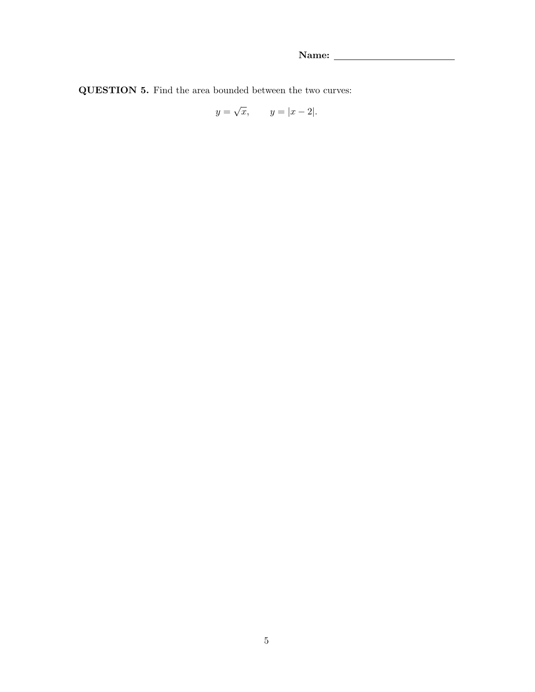QUESTION 5. Find the area bounded between the two curves:

$$
y = \sqrt{x}, \qquad y = |x - 2|.
$$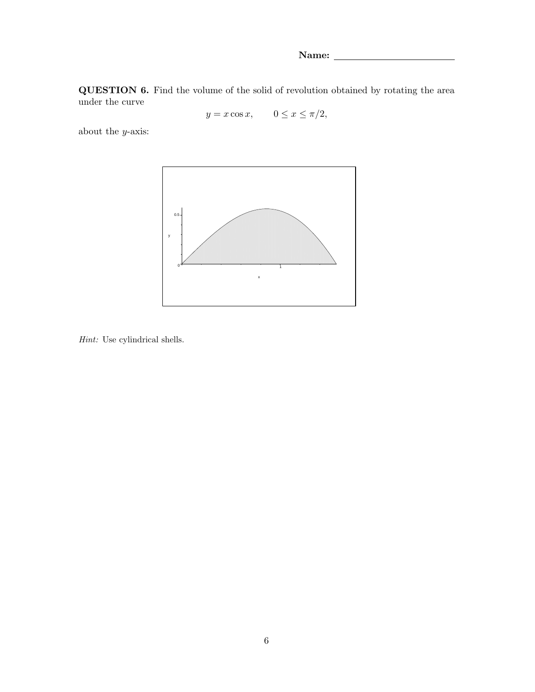Name: \_

QUESTION 6. Find the volume of the solid of revolution obtained by rotating the area under the curve

 $y = x \cos x$ ,  $0 \le x \le \pi/2$ ,

about the  $y\textrm{-axis:}$ 



Hint: Use cylindrical shells.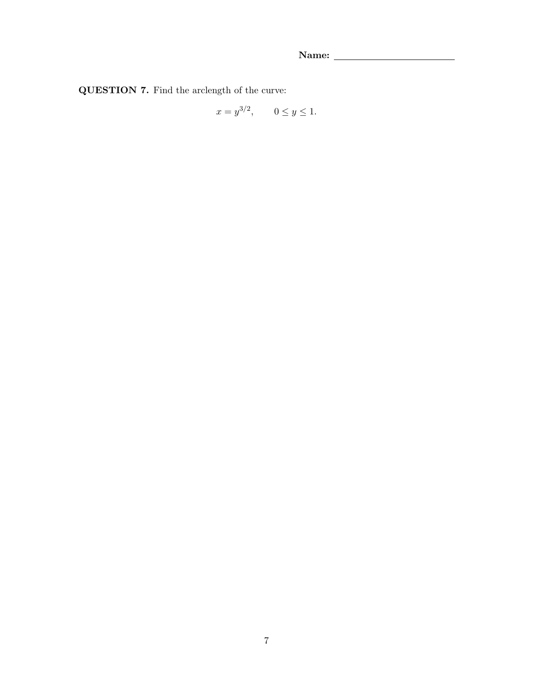QUESTION 7. Find the arclength of the curve:

$$
x = y^{3/2}, \quad 0 \le y \le 1.
$$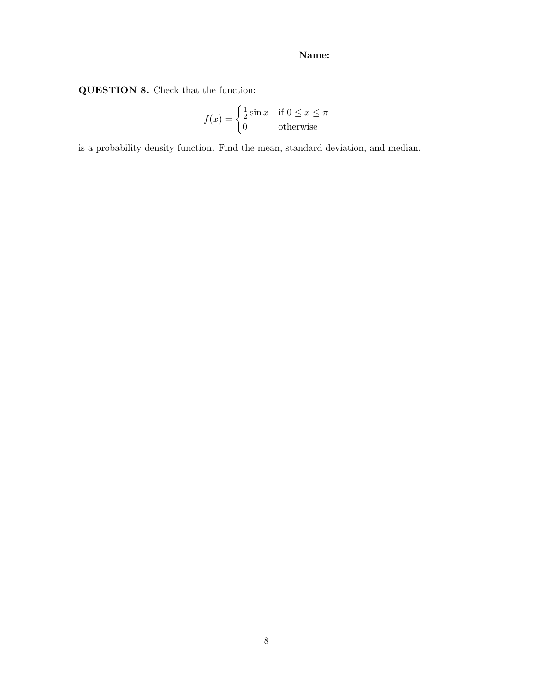QUESTION 8. Check that the function:

$$
f(x) = \begin{cases} \frac{1}{2}\sin x & \text{if } 0 \le x \le \pi \\ 0 & \text{otherwise} \end{cases}
$$

is a probability density function. Find the mean, standard deviation, and median.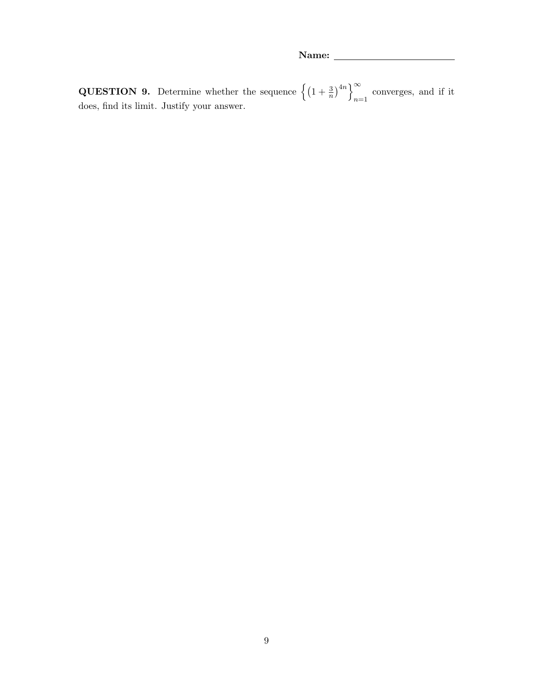**QUESTION 9.** Determine whether the sequence  $\left\{ \left(1 + \frac{3}{n}\right)^{4n} \right\}_{n=1}^{\infty}$ converges, and if it  $n=1$ does, find its limit. Justify your answer.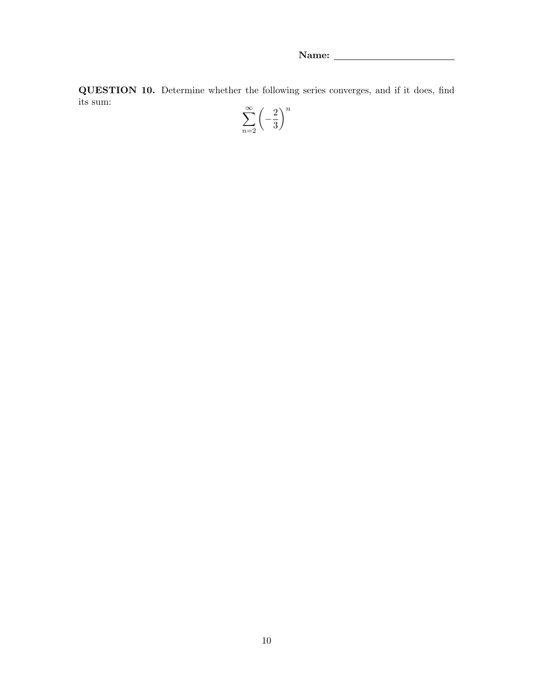QUESTION 10. Determine whether the following series converges, and if it does, find its sum: n

$$
\sum_{n=2}^{\infty} \left( -\frac{2}{3} \right)^{n}
$$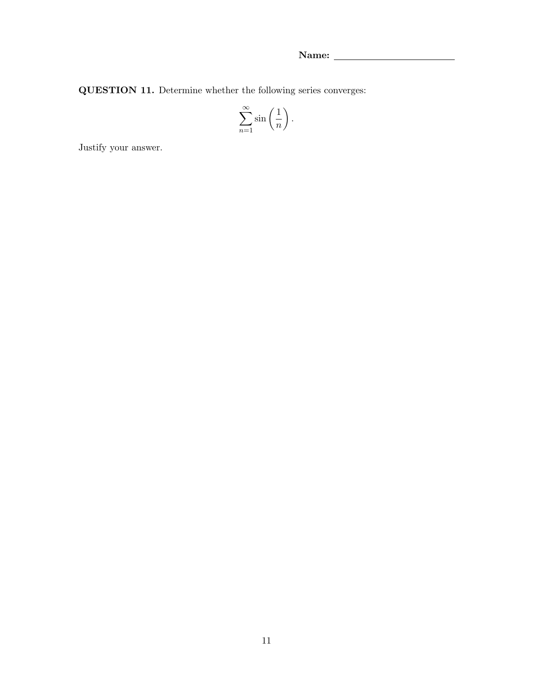QUESTION 11. Determine whether the following series converges:

$$
\sum_{n=1}^{\infty} \sin\left(\frac{1}{n}\right).
$$

Justify your answer.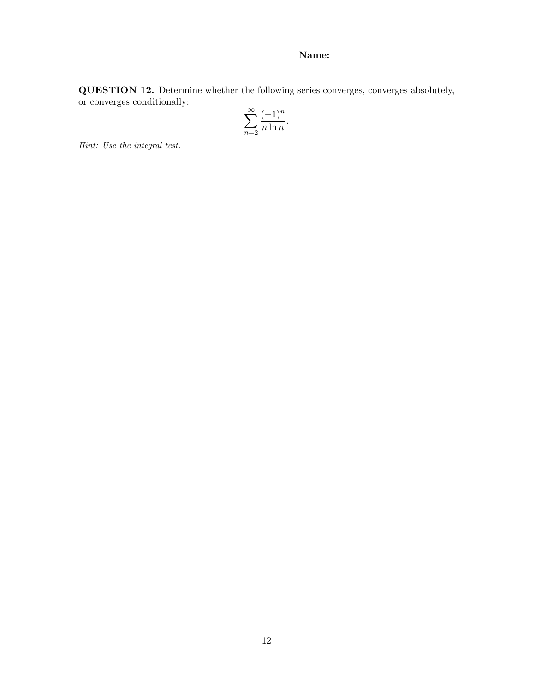QUESTION 12. Determine whether the following series converges, converges absolutely, or converges conditionally:

$$
\sum_{n=2}^{\infty} \frac{(-1)^n}{n \ln n}.
$$

Hint: Use the integral test.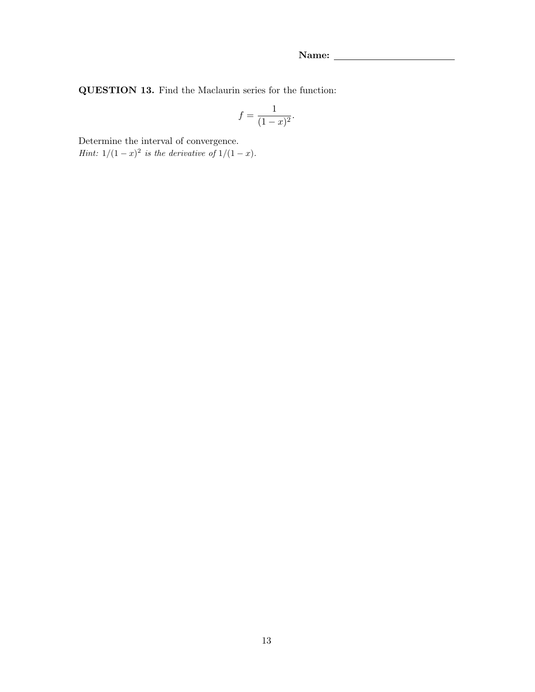QUESTION 13. Find the Maclaurin series for the function:

$$
f = \frac{1}{(1-x)^2}.
$$

Determine the interval of convergence.

*Hint*:  $1/(1-x)^2$  *is the derivative of*  $1/(1-x)$ *.*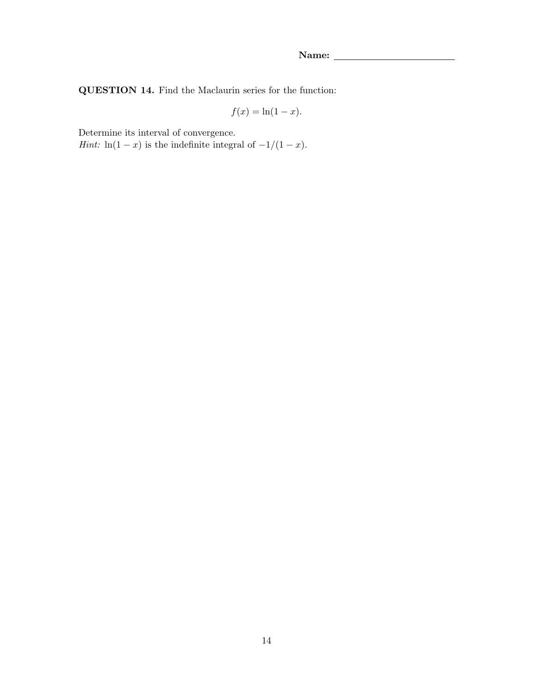QUESTION 14. Find the Maclaurin series for the function:

$$
f(x) = \ln(1 - x).
$$

Determine its interval of convergence.

*Hint*:  $ln(1-x)$  is the indefinite integral of  $-1/(1-x)$ .